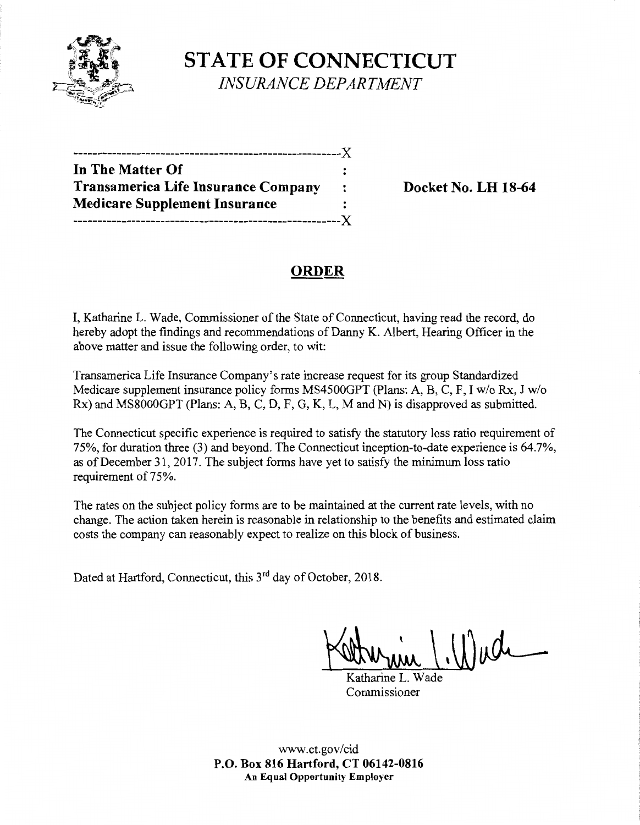

**STATE OF CONNECTICUT**  *INSURANCE DEPARTMENT* 

-------------------------------------------------------)( **In The Matter Of Transamerica Life Insurance Company : Docket No. LH 18-64 Medicare Supplement Insurance** : -------------------------------------------------------)(

# **ORDER**

I, Katharine L. Wade, Commissioner of the State of Connecticut, having read the record, do hereby adopt the findings and recommendations of Danny K. Albert, Hearing Officer in the above matter and issue the following order, to wit:

Transamerica Life Insurance Company's rate increase request for its group Standardized Medicare supplement insurance policy forms MS4500GPT (Plans: A, B, C, F, I w/o Rx, J w/o Rx) and MS8000GPT (Plans: A, B, C, D, F, G, K, L, M and N) is disapproved as submitted.

The Connecticut specific experience is required to satisfy the statutory loss ratio requirement of 75%, for duration three (3) and beyond. The Connecticut inception-to-date experience is 64.7%, as of December 31, 2017. The subject forms have yet to satisfy the minimum loss ratio requirement of 75%.

The rates on the subject policy forms are to be maintained at the current rate levels, with no change. The action taken herein is reasonable in relationship to the benefits and estimated claim costs the company can reasonably expect to realize on this block of business.

Dated at Hartford, Connecticut, this 3<sup>rd</sup> day of October, 2018.

Aumin (Wade

Commissioner

www.ct.gov/cid **P.O. Box 816 Hartford, CT 06142-0816 An Equal Opportunity Employer**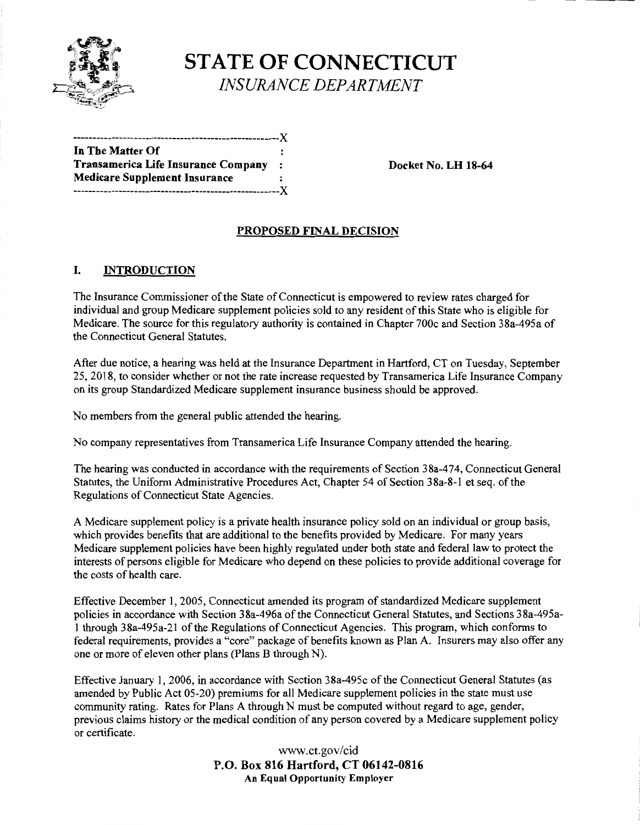

**STATE OF CONNECTICUT**  *INSURANCE DEPARTMENT* 

------------------------------------------------------)( **In The Matter Of Transamerica Life Insurance Company** : **Docket No. LH 18-64 Medicare Supplement Insurance**  ------------------------------------------------------)(

# **PROPOSED FINAL DECISION**

### I. **INTRODUCTION**

The Insurance Commissioner of the State of Connecticut is empowered to review rates charged for individual and group Medicare supplement policies sold to any resident of this State who is eligible for Medicare. The source for this regulatory authority is contained in Chapter 700c and Section 38a-495a of the Connecticut General Statutes.

After due notice, a hearing was held at the Insurance Department in Hartford, CT on Tuesday, September 25, 2018, to consider whether or not the rate increase requested by Transamerica Life Insurance Company on its group Standardized Medicare supplement insurance business should be approved.

No members from the general public attended the hearing.

No company representatives from Transamerica Life Insurance Company attended the hearing.

The hearing was conducted in accordance with the requirements of Section 38a-474, Connecticut General Statutes, the Uniform Administrative Procedures Act, Chapter 54 of Section 38a-8-1 et seq. of the Regulations of Connecticut State Agencies.

A Medicare supplement policy is a private health insurance policy sold on an individual or group basis, which provides benefits that are additional to the benefits provided by Medicare. For many years Medicare supplement policies have been highly regulated under both state and federal law to protect the interests of persons eligible for Medicare who depend on these policies to provide additional coverage for the costs of health care.

Effective December 1, 2005, Connecticut amended its program of standardized Medicare supplement policies in accordance with Section 38a-496a of the Connecticut General Statutes, and Sections 38a-495al through 38a-495a-21 of the Regulations of Connecticut Agencies. This program, which conforms to federal requirements, provides a "core" package of benefits known as Plan A. Insurers may also offer any one or more of eleven other plans (Plans B through N).

Effective January 1, 2006, in accordance with Section 38a-495c of the Connecticut General Statutes (as amended by Public Act 05-20) premiums for all Medicare supplement policies in the state must use community rating. Rates for Plans A through N must be computed without regard to age, gender, previous claims history or the medical condition of any person covered by a Medicare supplement policy or certificate.

> www.ct.gov/cid **P.O. Box 816 Hartford, CT 06142-0816 An Equal Opportunity Employer**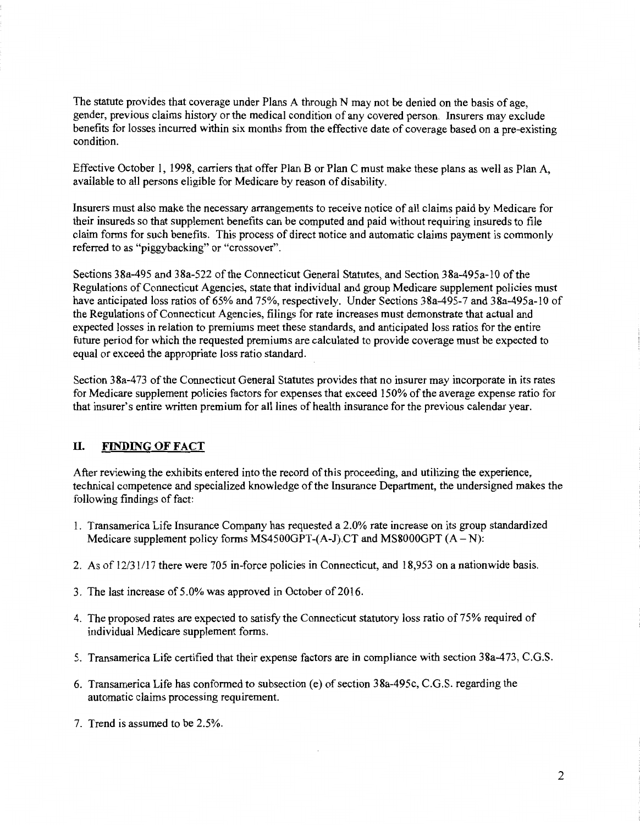The statute provides that coverage under Plans A through N may not be denied on the basis of age, gender, previous claims history or the medical condition of any covered person. Insurers may exclude benefits for losses incurred within six months from the effective date of coverage based on a pre-existing condition.

Effective October I, 1998, carriers that offer Plan B or Plan C must make these plans as well as Plan A, available to all persons eligible for Medicare by reason of disability.

Insurers must also make the necessary arrangements to receive notice of all claims paid by Medicare for their insureds so that supplement benefits can be computed and paid without requiring insureds to file claim forms for such benefits. This process of direct notice and automatic claims payment is commonly referred to as "piggybacking" or "crossover".

Sections 38a-495 and 38a-522 ofthe Connecticut General Statutes, and Section 38a-495a-lO of the Regulations of Connecticut Agencies, state that individual and group Medicare supplement policies must have anticipated loss ratios of 65% and 75%, respectively. Under Sections 38a-495-7 and 38a-495a-10 of the Regulations of Connecticut Agencies, filings for rate increases must demonstrate that actual and expected losses in relation to premiums meet these standards, and anticipated loss ratios for the entire future period for which the requested premiums are calculated to provide coverage must be expected to equal or exceed the appropriate loss ratio standard.

Section 38a-473 of the Connecticut General Statutes provides that no insurer may incorporate in its rates for Medicare supplement policies factors for expenses that exceed 150% of the average expense ratio for that insurer's entire written premium for all lines of health insurance for the previous calendar year.

#### II. **FINDING OF FACT**

After reviewing the exhibits entered into the record of this proceeding, and utilizing the experience, technical competence and specialized knowledge of the Insurance Department, the undersigned makes the following findings of fact:

- I. Transamerica Life Insurance Company has requested a 2.0% rate increase on its group standardized Medicare supplement policy forms MS4500GPT- $(A-I)$ . CT and MS8000GPT  $(A-N)$ :
- 2. As of 12/31/17 there were 705 in-force policies in Connecticut, and 18,953 on a nationwide basis.
- 3. The last increase of 5 .0% was approved in October of 2016.
- 4. The proposed rates are expected to satisfy the Connecticut statutory loss ratio of 75% required of individual Medicare supplement forms.
- 5. Transamerica Life certified that their expense factors are in compliance with section 38a-473, C.G.S.
- 6. Transamerica Life has conformed to subsection (e) of section 38a-495c, C.G.S. regarding the automatic claims processing requirement.
- 7. Trend is assumed to be 2.5%.